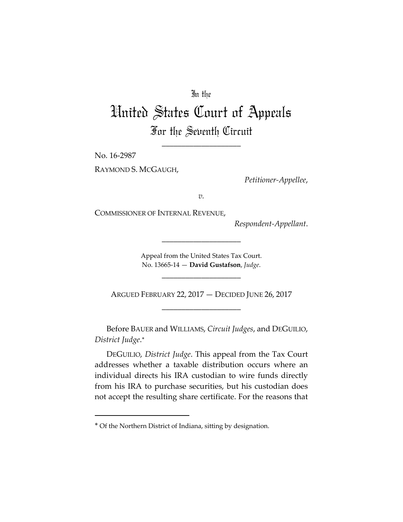## In the

## United States Court of Appeals For the Seventh Circuit

\_\_\_\_\_\_\_\_\_\_\_\_\_\_\_\_\_\_\_\_

No. 16‐2987

RAYMOND S. MCGAUGH,

*Petitioner‐Appellee*,

*v.*

COMMISSIONER OF INTERNAL REVENUE,

*Respondent‐Appellant*.

Appeal from the United States Tax Court. No. 13665‐14 — **David Gustafson**, *Judge*.

\_\_\_\_\_\_\_\_\_\_\_\_\_\_\_\_\_\_\_\_

\_\_\_\_\_\_\_\_\_\_\_\_\_\_\_\_\_\_\_\_

ARGUED FEBRUARY 22, 2017 — DECIDED JUNE 26, 2017 \_\_\_\_\_\_\_\_\_\_\_\_\_\_\_\_\_\_\_\_

Before BAUER and WILLIAMS, *Circuit Judges*, and DEGUILIO, *District Judge*.

DEGUILIO, *District Judge*. This appeal from the Tax Court addresses whether a taxable distribution occurs where an individual directs his IRA custodian to wire funds directly from his IRA to purchase securities, but his custodian does not accept the resulting share certificate. For the reasons that

Of the Northern District of Indiana, sitting by designation.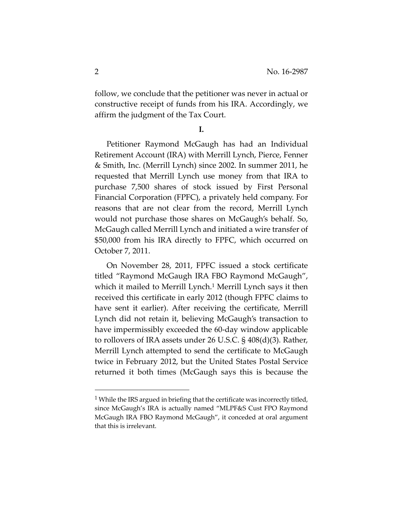follow, we conclude that the petitioner was never in actual or constructive receipt of funds from his IRA. Accordingly, we affirm the judgment of the Tax Court.

**I.**

Petitioner Raymond McGaugh has had an Individual Retirement Account (IRA) with Merrill Lynch, Pierce, Fenner & Smith, Inc. (Merrill Lynch) since 2002. In summer 2011, he requested that Merrill Lynch use money from that IRA to purchase 7,500 shares of stock issued by First Personal Financial Corporation (FPFC), a privately held company. For reasons that are not clear from the record, Merrill Lynch would not purchase those shares on McGaugh's behalf. So, McGaugh called Merrill Lynch and initiated a wire transfer of \$50,000 from his IRA directly to FPFC, which occurred on October 7, 2011.

On November 28, 2011, FPFC issued a stock certificate titled "Raymond McGaugh IRA FBO Raymond McGaugh", which it mailed to Merrill Lynch.<sup>1</sup> Merrill Lynch says it then received this certificate in early 2012 (though FPFC claims to have sent it earlier). After receiving the certificate, Merrill Lynch did not retain it, believing McGaugh's transaction to have impermissibly exceeded the 60‐day window applicable to rollovers of IRA assets under 26 U.S.C. § 408(d)(3). Rather, Merrill Lynch attempted to send the certificate to McGaugh twice in February 2012, but the United States Postal Service returned it both times (McGaugh says this is because the

<sup>&</sup>lt;sup>1</sup> While the IRS argued in briefing that the certificate was incorrectly titled, since McGaugh's IRA is actually named "MLPF&S Cust FPO Raymond McGaugh IRA FBO Raymond McGaugh", it conceded at oral argument that this is irrelevant.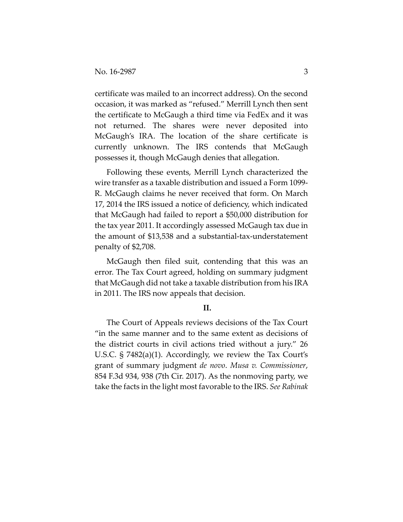certificate was mailed to an incorrect address). On the second occasion, it was marked as "refused." Merrill Lynch then sent the certificate to McGaugh a third time via FedEx and it was not returned. The shares were never deposited into McGaugh's IRA. The location of the share certificate is currently unknown. The IRS contends that McGaugh possesses it, though McGaugh denies that allegation.

Following these events, Merrill Lynch characterized the wire transfer as a taxable distribution and issued a Form 1099‐ R. McGaugh claims he never received that form. On March 17, 2014 the IRS issued a notice of deficiency, which indicated that McGaugh had failed to report a \$50,000 distribution for the tax year 2011. It accordingly assessed McGaugh tax due in the amount of \$13,538 and a substantial‐tax‐understatement penalty of \$2,708.

McGaugh then filed suit, contending that this was an error. The Tax Court agreed, holding on summary judgment that McGaugh did not take a taxable distribution from his IRA in 2011. The IRS now appeals that decision.

## **II.**

The Court of Appeals reviews decisions of the Tax Court "in the same manner and to the same extent as decisions of the district courts in civil actions tried without a jury." 26 U.S.C. § 7482(a)(1). Accordingly, we review the Tax Court's grant of summary judgment *de novo*. *Musa v. Commissioner*, 854 F.3d 934, 938 (7th Cir. 2017). As the nonmoving party, we take the facts in the light most favorable to the IRS. *See Rabinak*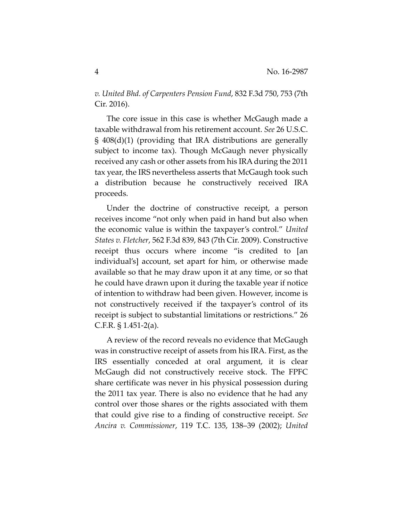*v. United Bhd. of Carpenters Pension Fund*, 832 F.3d 750, 753 (7th Cir. 2016).

The core issue in this case is whether McGaugh made a taxable withdrawal from his retirement account. *See* 26 U.S.C. § 408(d)(1) (providing that IRA distributions are generally subject to income tax). Though McGaugh never physically received any cash or other assets from his IRA during the 2011 tax year, the IRS nevertheless asserts that McGaugh took such a distribution because he constructively received IRA proceeds.

Under the doctrine of constructive receipt, a person receives income "not only when paid in hand but also when the economic value is within the taxpayer's control." *United States v. Fletcher*, 562 F.3d 839, 843 (7th Cir. 2009). Constructive receipt thus occurs where income "is credited to [an individual's] account, set apart for him, or otherwise made available so that he may draw upon it at any time, or so that he could have drawn upon it during the taxable year if notice of intention to withdraw had been given. However, income is not constructively received if the taxpayer's control of its receipt is subject to substantial limitations or restrictions." 26 C.F.R. § 1.451‐2(a).

A review of the record reveals no evidence that McGaugh was in constructive receipt of assets from his IRA. First, as the IRS essentially conceded at oral argument, it is clear McGaugh did not constructively receive stock. The FPFC share certificate was never in his physical possession during the 2011 tax year. There is also no evidence that he had any control over those shares or the rights associated with them that could give rise to a finding of constructive receipt. *See Ancira v. Commissioner*, 119 T.C. 135, 138–39 (2002); *United*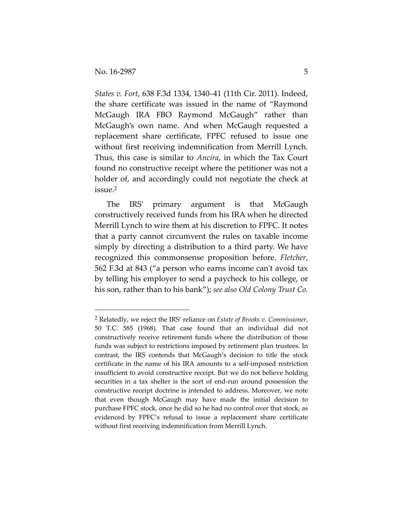*States v. Fort*, 638 F.3d 1334, 1340–41 (11th Cir. 2011). Indeed, the share certificate was issued in the name of "Raymond McGaugh IRA FBO Raymond McGaugh" rather than McGaugh's own name. And when McGaugh requested a replacement share certificate, FPFC refused to issue one without first receiving indemnification from Merrill Lynch. Thus, this case is similar to *Ancira*, in which the Tax Court found no constructive receipt where the petitioner was not a holder of, and accordingly could not negotiate the check at issue.2

The IRS' primary argument is that McGaugh constructively received funds from his IRA when he directed Merrill Lynch to wire them at his discretion to FPFC. It notes that a party cannot circumvent the rules on taxable income simply by directing a distribution to a third party. We have recognized this commonsense proposition before. *Fletcher*, 562 F.3d at 843 ("a person who earns income can't avoid tax by telling his employer to send a paycheck to his college, or his son, rather than to his bank"); *see also Old Colony Trust Co.*

<sup>2</sup> Relatedly, we reject the IRS' reliance on *Estate of Brooks v. Commissioner*, 50 T.C. 585 (1968). That case found that an individual did not constructively receive retirement funds where the distribution of those funds was subject to restrictions imposed by retirement plan trustees. In contrast, the IRS contends that McGaugh's decision to title the stock certificate in the name of his IRA amounts to a self‐imposed restriction insufficient to avoid constructive receipt. But we do not believe holding securities in a tax shelter is the sort of end‐run around possession the constructive receipt doctrine is intended to address. Moreover, we note that even though McGaugh may have made the initial decision to purchase FPFC stock, once he did so he had no control over that stock, as evidenced by FPFC's refusal to issue a replacement share certificate without first receiving indemnification from Merrill Lynch.